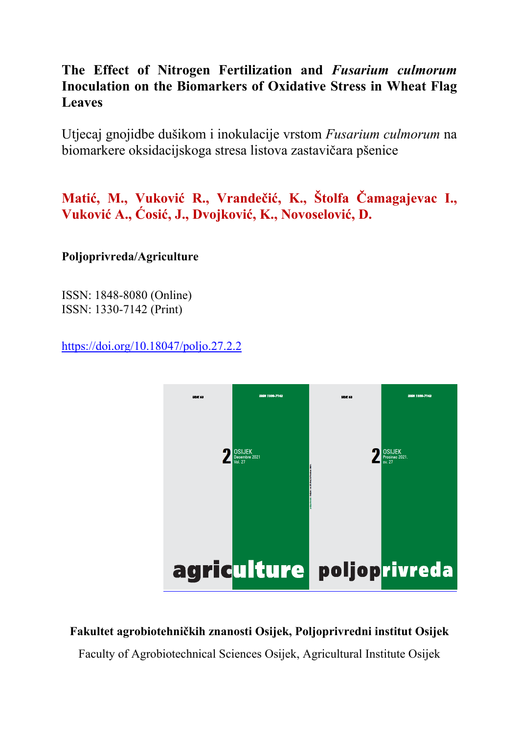# **The Effect of Nitrogen Fertilization and** *Fusarium culmorum* **Inoculation on the Biomarkers of Oxidative Stress in Wheat Flag Leaves**

Utjecaj gnojidbe dušikom i inokulacije vrstom *Fusarium culmorum* na biomarkere oksidacijskoga stresa listova zastavičara pšenice

**Matić, M., Vuković R., Vrandečić, K., Štolfa Čamagajevac I., Vuković A., Ćosić, J., Dvojković, K., Novoselović, D.** 

# **Poljoprivreda/Agriculture**

ISSN: 1848-8080 (Online) ISSN: 1330-7142 (Print)

https://doi.org/10.18047/poljo.27.2.2



# **Fakultet agrobiotehničkih znanosti Osijek, Poljoprivredni institut Osijek**

Faculty of Agrobiotechnical Sciences Osijek, Agricultural Institute Osijek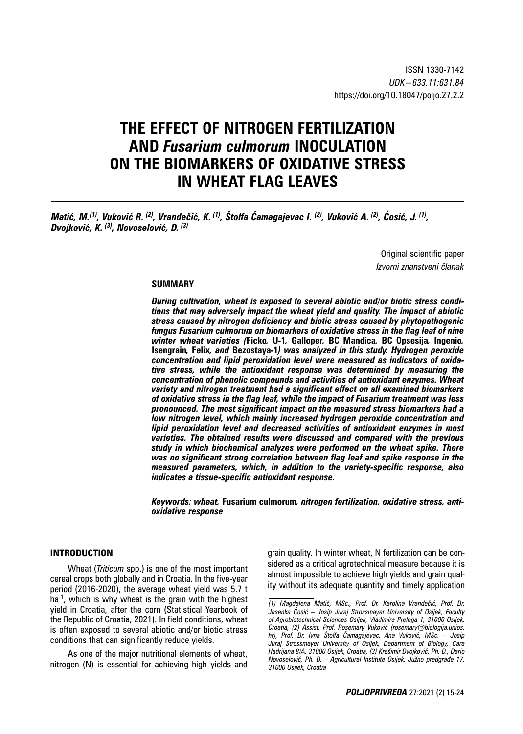# **THE EFFECT OF NITROGEN FERTILIZATION AND** *Fusarium culmorum* **INOCULATION ON THE BIOMARKERS OF OXIDATIVE STRESS IN WHEAT FLAG LEAVES**

Matić, M.<sup>(1)</sup>, Vuković R. <sup>(2)</sup>, Vrandečić, K. <sup>(1)</sup>, Štolfa Čamagajevac I. <sup>(2)</sup>, Vuković A. <sup>(2)</sup>, Ćosić, J. <sup>(1)</sup>, *Dvojković, K. (3), Novoselović, D. (3)*

> Original scientific paper *Izvorni znanstveni članak*

#### **SUMMARY**

*During cultivation, wheat is exposed to several abiotic and/or biotic stress conditions that may adversely impact the wheat yield and quality. The impact of abiotic stress caused by nitrogen deficiency and biotic stress caused by phytopathogenic fungus Fusarium culmorum on biomarkers of oxidative stress in the flag leaf of nine winter wheat varieties (***Ficko***,* **U-1***,* **Galloper***,* **BC Mandica***,* **BC Opsesija***,* **Ingenio***,*  **Isengrain***,* **Felix***, and* **Bezostaya-1***) was analyzed in this study. Hydrogen peroxide concentration and lipid peroxidation level were measured as indicators of oxidative stress, while the antioxidant response was determined by measuring the concentration of phenolic compounds and activities of antioxidant enzymes. Wheat variety and nitrogen treatment had a significant effect on all examined biomarkers of oxidative stress in the flag leaf, while the impact of Fusarium treatment was less pronounced. The most significant impact on the measured stress biomarkers had a low nitrogen level, which mainly increased hydrogen peroxide concentration and lipid peroxidation level and decreased activities of antioxidant enzymes in most varieties. The obtained results were discussed and compared with the previous study in which biochemical analyzes were performed on the wheat spike. There was no significant strong correlation between flag leaf and spike response in the measured parameters, which, in addition to the variety-specific response, also indicates a tissue-specific antioxidant response.*

*Keywords: wheat,* **Fusarium culmorum***, nitrogen fertilization, oxidative stress, antioxidative response* 

## **INTRODUCTION**

Wheat (*Triticum* spp.) is one of the most important cereal crops both globally and in Croatia. In the five-year period (2016-2020), the average wheat yield was 5.7 t  $ha^{-1}$ , which is why wheat is the grain with the highest yield in Croatia, after the corn (Statistical Yearbook of the Republic of Croatia, 2021). In field conditions, wheat is often exposed to several abiotic and/or biotic stress conditions that can significantly reduce yields.

As one of the major nutritional elements of wheat, nitrogen (N) is essential for achieving high yields and grain quality. In winter wheat, N fertilization can be considered as a critical agrotechnical measure because it is almost impossible to achieve high yields and grain quality without its adequate quantity and timely application

*<sup>(1)</sup> Magdalena Matić, MSc., Prof. Dr. Karolina Vrandečić, Prof. Dr. Jasenka Ćosić – Josip Juraj Strossmayer University of Osijek, Faculty of Agrobiotechnical Sciences Osijek, Vladimira Preloga 1, 31000 Osijek, Croatia, (2) Assist. Prof. Rosemary Vuković (rosemary@biologija.unios. hr), Prof. Dr. Ivna Štolfa Čamagajevac, Ana Vuković, MSc. – Josip Juraj Strossmayer University of Osijek, Department of Biology, Cara Hadrijana 8/A, 31000 Osijek, Croatia, (3) Krešimir Dvojković, Ph. D., Dario Novoselović, Ph. D. – Agricultural Institute Osijek, Južno predgrađe 17, 31000 Osijek, Croatia*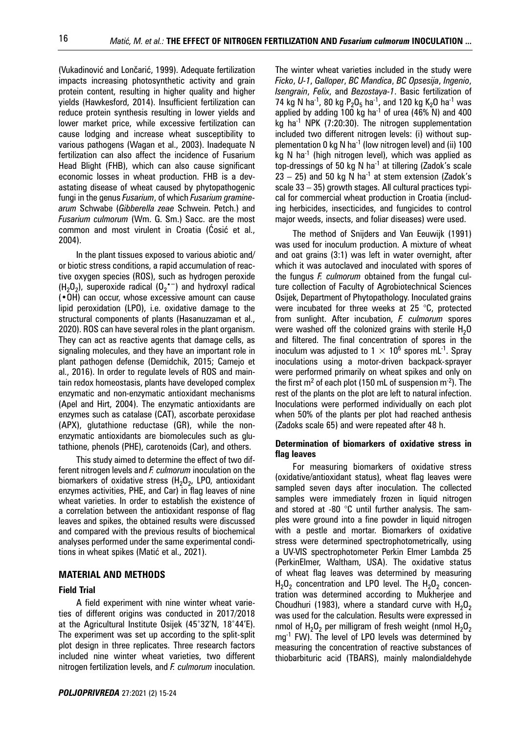(Vukadinović and Lončarić, 1999). Adequate fertilization impacts increasing photosynthetic activity and grain protein content, resulting in higher quality and higher yields (Hawkesford, 2014). Insufficient fertilization can reduce protein synthesis resulting in lower yields and lower market price, while excessive fertilization can cause lodging and increase wheat susceptibility to various pathogens (Wagan et al., 2003). Inadequate N fertilization can also affect the incidence of Fusarium Head Blight (FHB), which can also cause significant economic losses in wheat production. FHB is a devastating disease of wheat caused by phytopathogenic fungi in the genus *Fusarium*, of which *Fusarium graminearum* Schwabe (*Gibberella zeae* Schwein. Petch.) and *Fusarium culmorum* (Wm. G. Sm.) Sacc. are the most common and most virulent in Croatia (Ćosić et al., 2004).

In the plant tissues exposed to various abiotic and/ or biotic stress conditions, a rapid accumulation of reactive oxygen species (ROS), such as hydrogen peroxide  $(H_2O_2)$ , superoxide radical  $(O_2^{\bullet -})$  and hydroxyl radical (•OH) can occur, whose excessive amount can cause lipid peroxidation (LPO), i.e. oxidative damage to the structural components of plants (Hasanuzzaman et al., 2020). ROS can have several roles in the plant organism. They can act as reactive agents that damage cells, as signaling molecules, and they have an important role in plant pathogen defense (Demidchik, 2015; Camejo et al., 2016). In order to regulate levels of ROS and maintain redox homeostasis, plants have developed complex enzymatic and non-enzymatic antioxidant mechanisms (Apel and Hirt, 2004). The enzymatic antioxidants are enzymes such as catalase (CAT), ascorbate peroxidase (APX), glutathione reductase (GR), while the nonenzymatic antioxidants are biomolecules such as glutathione, phenols (PHE), carotenoids (Car), and others.

This study aimed to determine the effect of two different nitrogen levels and *F. culmorum* inoculation on the biomarkers of oxidative stress  $(H<sub>2</sub>O<sub>2</sub>)$ , LPO, antioxidant enzymes activities, PHE, and Car) in flag leaves of nine wheat varieties. In order to establish the existence of a correlation between the antioxidant response of flag leaves and spikes, the obtained results were discussed and compared with the previous results of biochemical analyses performed under the same experimental conditions in wheat spikes (Matić et al., 2021).

## **MATERIAL AND METHODS**

# **Field Trial**

A field experiment with nine winter wheat varieties of different origins was conducted in 2017/2018 at the Agricultural Institute Osijek (45˚32'N, 18˚44'E). The experiment was set up according to the split-split plot design in three replicates. Three research factors included nine winter wheat varieties, two different nitrogen fertilization levels, and *F. culmorum* inoculation.

The winter wheat varieties included in the study were *Ficko*, *U-1*, *Galloper*, *BC Mandica*, *BC Opsesija*, *Ingenio*, *Isengrain*, *Felix*, and *Bezostaya-1*. Basic fertilization of 74 kg N ha<sup>-1</sup>, 80 kg P<sub>2</sub>O<sub>5</sub> ha<sup>-1</sup>, and 120 kg K<sub>2</sub>O ha<sup>-1</sup> was applied by adding 100 kg ha<sup>-1</sup> of urea (46% N) and 400 kg ha<sup>-1</sup> NPK (7:20:30). The nitrogen supplementation included two different nitrogen levels: (i) without supplementation 0 kg N ha<sup>-1</sup> (low nitrogen level) and (ii) 100 kg N ha<sup>-1</sup> (high nitrogen level), which was applied as top-dressings of 50 kg N ha<sup>-1</sup> at tillering (Zadok's scale  $23 - 25$ ) and 50 kg N ha<sup>-1</sup> at stem extension (Zadok's scale 33 – 35) growth stages. All cultural practices typical for commercial wheat production in Croatia (including herbicides, insecticides, and fungicides to control major weeds, insects, and foliar diseases) were used.

The method of Snijders and Van Eeuwijk (1991) was used for inoculum production. A mixture of wheat and oat grains (3:1) was left in water overnight, after which it was autoclaved and inoculated with spores of the fungus *F. culmorum* obtained from the fungal culture collection of Faculty of Agrobiotechnical Sciences Osijek, Department of Phytopathology. Inoculated grains were incubated for three weeks at 25 °C, protected from sunlight. After incubation, *F. culmorum* spores were washed off the colonized grains with sterile  $H_2O$ and filtered. The final concentration of spores in the inoculum was adjusted to  $1 \times 10^6$  spores mL<sup>-1</sup>. Spray inoculations using a motor-driven backpack-sprayer were performed primarily on wheat spikes and only on the first m<sup>2</sup> of each plot (150 mL of suspension m<sup>-2</sup>). The rest of the plants on the plot are left to natural infection. Inoculations were performed individually on each plot when 50% of the plants per plot had reached anthesis (Zadoks scale 65) and were repeated after 48 h.

## **Determination of biomarkers of oxidative stress in flag leaves**

For measuring biomarkers of oxidative stress (oxidative/antioxidant status), wheat flag leaves were sampled seven days after inoculation. The collected samples were immediately frozen in liquid nitrogen and stored at -80 °C until further analysis. The samples were ground into a fine powder in liquid nitrogen with a pestle and mortar. Biomarkers of oxidative stress were determined spectrophotometrically, using a UV-VIS spectrophotometer Perkin Elmer Lambda 25 (PerkinElmer, Waltham, USA). The oxidative status of wheat flag leaves was determined by measuring  $H_2O_2$  concentration and LPO level. The  $H_2O_2$  concentration was determined according to Mukherjee and Choudhuri (1983), where a standard curve with  $H_2O_2$ was used for the calculation. Results were expressed in nmol of  $H_2O_2$  per milligram of fresh weight (nmol  $H_2O_2$ mg<sup>-1</sup> FW). The level of LPO levels was determined by measuring the concentration of reactive substances of thiobarbituric acid (TBARS), mainly malondialdehyde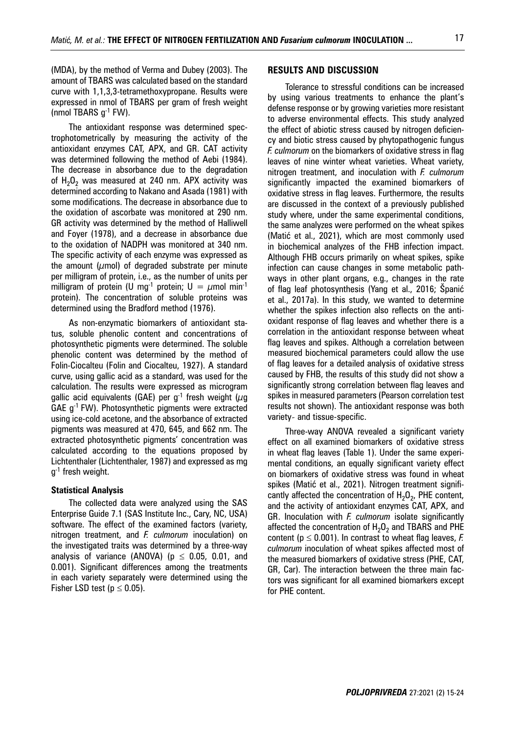(MDA), by the method of Verma and Dubey (2003). The amount of TBARS was calculated based on the standard curve with 1,1,3,3-tetramethoxypropane. Results were expressed in nmol of TBARS per gram of fresh weight (nmol TBARS g-1 FW).

The antioxidant response was determined spectrophotometrically by measuring the activity of the antioxidant enzymes CAT, APX, and GR. CAT activity was determined following the method of Aebi (1984). The decrease in absorbance due to the degradation of  $H_2O_2$  was measured at 240 nm. APX activity was determined according to Nakano and Asada (1981) with some modifications. The decrease in absorbance due to the oxidation of ascorbate was monitored at 290 nm. GR activity was determined by the method of Halliwell and Foyer (1978), and a decrease in absorbance due to the oxidation of NADPH was monitored at 340 nm. The specific activity of each enzyme was expressed as the amount ( $\mu$ mol) of degraded substrate per minute per milligram of protein, i.e., as the number of units per milligram of protein (U mg<sup>-1</sup> protein;  $U = \mu$ mol min<sup>-1</sup> protein). The concentration of soluble proteins was determined using the Bradford method (1976).

As non-enzymatic biomarkers of antioxidant status, soluble phenolic content and concentrations of photosynthetic pigments were determined. The soluble phenolic content was determined by the method of Folin-Ciocalteu (Folin and Ciocalteu, 1927). A standard curve, using gallic acid as a standard, was used for the calculation. The results were expressed as microgram gallic acid equivalents (GAE) per g<sup>-1</sup> fresh weight ( $\mu$ g GAE g-1 FW). Photosynthetic pigments were extracted using ice-cold acetone, and the absorbance of extracted pigments was measured at 470, 645, and 662 nm. The extracted photosynthetic pigments' concentration was calculated according to the equations proposed by Lichtenthaler (Lichtenthaler, 1987) and expressed as mg  $g^{-1}$  fresh weight.

#### **Statistical Analysis**

The collected data were analyzed using the SAS Enterprise Guide 7.1 (SAS Institute Inc., Cary, NC, USA) software. The effect of the examined factors (variety, nitrogen treatment, and *F. culmorum* inoculation) on the investigated traits was determined by a three-way analysis of variance (ANOVA) ( $p \le 0.05$ , 0.01, and 0.001). Significant differences among the treatments in each variety separately were determined using the Fisher LSD test ( $p \le 0.05$ ).

#### **RESULTS AND DISCUSSION**

Tolerance to stressful conditions can be increased by using various treatments to enhance the plant's defense response or by growing varieties more resistant to adverse environmental effects. This study analyzed the effect of abiotic stress caused by nitrogen deficiency and biotic stress caused by phytopathogenic fungus *F. culmorum* on the biomarkers of oxidative stress in flag leaves of nine winter wheat varieties. Wheat variety, nitrogen treatment, and inoculation with *F. culmorum* significantly impacted the examined biomarkers of oxidative stress in flag leaves. Furthermore, the results are discussed in the context of a previously published study where, under the same experimental conditions, the same analyzes were performed on the wheat spikes (Matić et al., 2021), which are most commonly used in biochemical analyzes of the FHB infection impact. Although FHB occurs primarily on wheat spikes, spike infection can cause changes in some metabolic pathways in other plant organs, e.g., changes in the rate of flag leaf photosynthesis (Yang et al., 2016; Španić et al., 2017a). In this study, we wanted to determine whether the spikes infection also reflects on the antioxidant response of flag leaves and whether there is a correlation in the antioxidant response between wheat flag leaves and spikes. Although a correlation between measured biochemical parameters could allow the use of flag leaves for a detailed analysis of oxidative stress caused by FHB, the results of this study did not show a significantly strong correlation between flag leaves and spikes in measured parameters (Pearson correlation test results not shown). The antioxidant response was both variety- and tissue-specific.

Three-way ANOVA revealed a significant variety effect on all examined biomarkers of oxidative stress in wheat flag leaves (Table 1). Under the same experimental conditions, an equally significant variety effect on biomarkers of oxidative stress was found in wheat spikes (Matić et al., 2021). Nitrogen treatment significantly affected the concentration of  $H_2O_2$ , PHE content, and the activity of antioxidant enzymes CAT, APX, and GR. Inoculation with *F. culmorum* isolate significantly affected the concentration of  $H_2O_2$  and TBARS and PHE content ( $p \le 0.001$ ). In contrast to wheat flag leaves, *F. culmorum* inoculation of wheat spikes affected most of the measured biomarkers of oxidative stress (PHE, CAT, GR, Car). The interaction between the three main factors was significant for all examined biomarkers except for PHE content.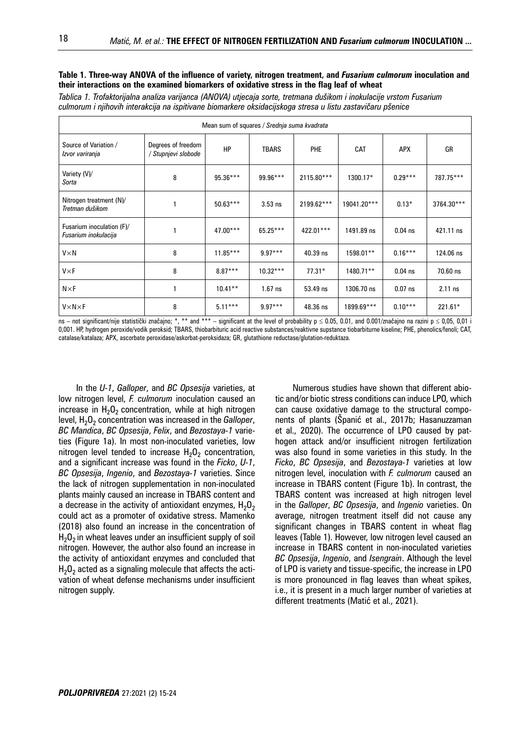#### **Table 1. Three-way ANOVA of the influence of variety, nitrogen treatment, and** *Fusarium culmorum* **inoculation and their interactions on the examined biomarkers of oxidative stress in the flag leaf of wheat**

*Tablica 1. Trofaktorijalna analiza varijanca (ANOVA) utjecaja sorte, tretmana dušikom i inokulacije vrstom Fusarium culmorum i njihovih interakcija na ispitivane biomarkere oksidacijskoga stresa u listu zastavičaru pšenice*

| Mean sum of squares / Srednja suma kvadrata       |                                           |            |              |            |             |            |            |  |  |  |
|---------------------------------------------------|-------------------------------------------|------------|--------------|------------|-------------|------------|------------|--|--|--|
| Source of Variation /<br>Izvor variranja          | Degrees of freedom<br>/ Stupnjevi slobode | HP         | <b>TBARS</b> | <b>PHE</b> | CAT         | <b>APX</b> | GR         |  |  |  |
| Variety (V)/<br>Sorta                             | 8                                         | $95.36***$ | 99.96***     | 2115.80*** | 1300.17*    | $0.29***$  | 787.75***  |  |  |  |
| Nitrogen treatment (N)/<br>Tretman dušikom        |                                           | $50.63***$ | $3.53$ ns    | 2199.62*** | 19041.20*** | $0.13*$    | 3764.30*** |  |  |  |
| Fusarium inoculation (F)/<br>Fusarium inokulacija |                                           | $47.00***$ | 65.25***     | 422.01***  | 1491.89 ns  | $0.04$ ns  | 421.11 ns  |  |  |  |
| V×N                                               | 8                                         | $11.85***$ | $9.97***$    | 40.39 ns   | 1598.01**   | $0.16***$  | 124.06 ns  |  |  |  |
| $V \times F$                                      | 8                                         | $8.87***$  | $10.32***$   | $77.31*$   | 1480.71**   | $0.04$ ns  | 70.60 ns   |  |  |  |
| $N \times F$                                      |                                           | $10.41***$ | $1.67$ ns    | 53.49 ns   | 1306.70 ns  | $0.07$ ns  | $2.11$ ns  |  |  |  |
| $V \times N \times F$                             | 8                                         | $5.11***$  | $9.97***$    | 48.36 ns   | 1899.69***  | $0.10***$  | 221.61*    |  |  |  |

 $\overline{\text{ns}}$  – not significant/nije statistički značajno; \*, \*\* and \*\*\* – significant at the level of probability  $\overline{p} \le 0.05$ , 0.01, and 0.001/značajno na razini p  $\le 0.05$ , 0,01 i 0,001. HP, hydrogen peroxide/vodik peroksid; TBARS, thiobarbituric acid reactive substances/reaktivne supstance tiobarbiturne kiseline; PHE, phenolics/fenoli; CAT, catalase/katalaza; APX, ascorbate peroxidase/askorbat-peroksidaza; GR, glutathione reductase/glutation-reduktaza.

In the *U-1*, *Galloper*, and *BC Opsesija* varieties, at low nitrogen level, *F. culmorum* inoculation caused an increase in  $H_2O_2$  concentration, while at high nitrogen level, H<sub>2</sub>O<sub>2</sub> concentration was increased in the *Galloper*, *BC Mandica*, *BC Opsesija*, *Felix*, and *Bezostaya-1* varieties (Figure 1a). In most non-inoculated varieties, low nitrogen level tended to increase  $H_2O_2$  concentration, and a significant increase was found in the *Ficko*, *U-1*, *BC Opsesija*, *Ingenio*, and *Bezostaya-1* varieties. Since the lack of nitrogen supplementation in non-inoculated plants mainly caused an increase in TBARS content and a decrease in the activity of antioxidant enzymes,  $H_2O_2$ could act as a promoter of oxidative stress. Mamenko (2018) also found an increase in the concentration of  $H<sub>2</sub>O<sub>2</sub>$  in wheat leaves under an insufficient supply of soil nitrogen. However, the author also found an increase in the activity of antioxidant enzymes and concluded that  $H<sub>2</sub>O<sub>2</sub>$  acted as a signaling molecule that affects the activation of wheat defense mechanisms under insufficient nitrogen supply.

Numerous studies have shown that different abiotic and/or biotic stress conditions can induce LPO, which can cause oxidative damage to the structural components of plants (Španić et al., 2017b; Hasanuzzaman et al., 2020). The occurrence of LPO caused by pathogen attack and/or insufficient nitrogen fertilization was also found in some varieties in this study. In the *Ficko*, *BC Opsesija*, and *Bezostaya-1* varieties at low nitrogen level, inoculation with *F. culmorum* caused an increase in TBARS content (Figure 1b). In contrast, the TBARS content was increased at high nitrogen level in the *Galloper*, *BC Opsesija*, and *Ingenio* varieties. On average, nitrogen treatment itself did not cause any significant changes in TBARS content in wheat flag leaves (Table 1). However, low nitrogen level caused an increase in TBARS content in non-inoculated varieties *BC Opsesija*, *Ingenio*, and *Isengrain*. Although the level of LPO is variety and tissue-specific, the increase in LPO is more pronounced in flag leaves than wheat spikes, i.e., it is present in a much larger number of varieties at different treatments (Matić et al., 2021).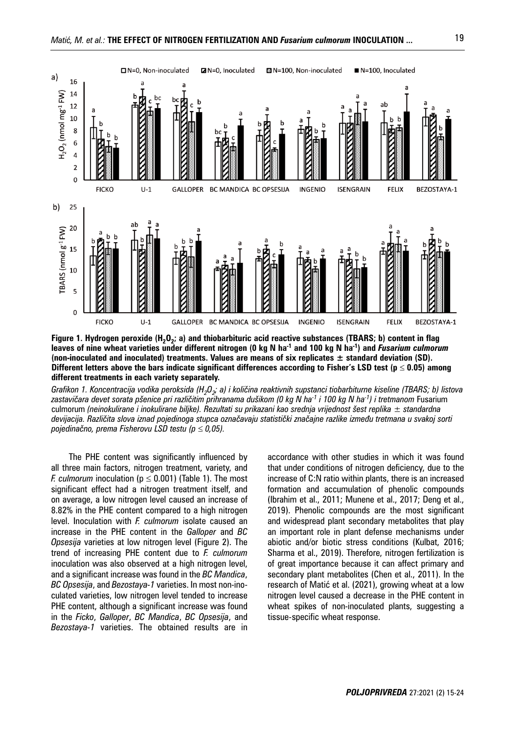

**Figure 1. Hydrogen peroxide (H<sub>2</sub>O<sub>2</sub>; a) and thiobarbituric acid reactive substances (TBARS; b) content in flag leaves of nine wheat varieties under different nitrogen (0 kg N ha-1 and 100 kg N ha-1) and** *Fusarium culmorum* **(non-inoculated and inoculated) treatments. Values are means of six replicates ± standard deviation (SD). Different letters above the bars indicate significant differences according to Fisher's LSD test (** $p \le 0.05$ **) among different treatments in each variety separately.**

*Grafikon 1. Koncentracija vodika peroksida (H<sub>2</sub>O<sub>2</sub>; a) i količina reaktivnih supstanci tiobarbiturne kiseline (TBARS; b) listova zastavičara devet sorata pšenice pri različitim prihranama dušikom (0 kg N ha-1 i 100 kg N ha-1) i tretmanom* Fusarium culmorum *(neinokulirane i inokulirane biljke). Rezultati su prikazani kao srednja vrijednost šest replika ± standardna devijacija. Različita slova iznad pojedinoga stupca označavaju statistički značajne razlike između tretmana u svakoj sorti pojedinačno, prema Fisherovu LSD testu (p 0,05).*

The PHE content was significantly influenced by all three main factors, nitrogen treatment, variety, and *F. culmorum* inoculation ( $p \le 0.001$ ) (Table 1). The most significant effect had a nitrogen treatment itself, and on average, a low nitrogen level caused an increase of 8.82% in the PHE content compared to a high nitrogen level. Inoculation with *F. culmorum* isolate caused an increase in the PHE content in the *Galloper* and *BC Opsesija* varieties at low nitrogen level (Figure 2). The trend of increasing PHE content due to *F. culmorum* inoculation was also observed at a high nitrogen level, and a significant increase was found in the *BC Mandica*, *BC Opsesija*, and *Bezostaya-1* varieties. In most non-inoculated varieties, low nitrogen level tended to increase PHE content, although a significant increase was found in the *Ficko*, *Galloper*, *BC Mandica*, *BC Opsesija*, and *Bezostaya-1* varieties. The obtained results are in

accordance with other studies in which it was found that under conditions of nitrogen deficiency, due to the increase of C:N ratio within plants, there is an increased formation and accumulation of phenolic compounds (Ibrahim et al., 2011; Munene et al., 2017; Deng et al., 2019). Phenolic compounds are the most significant and widespread plant secondary metabolites that play an important role in plant defense mechanisms under abiotic and/or biotic stress conditions (Kulbat, 2016; Sharma et al., 2019). Therefore, nitrogen fertilization is of great importance because it can affect primary and secondary plant metabolites (Chen et al., 2011). In the research of Matić et al. (2021), growing wheat at a low nitrogen level caused a decrease in the PHE content in wheat spikes of non-inoculated plants, suggesting a tissue-specific wheat response.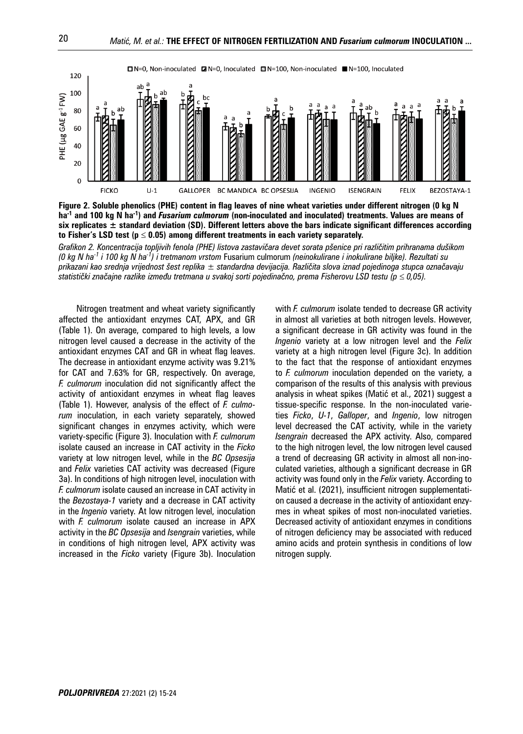

**Figure 2. Soluble phenolics (PHE) content in flag leaves of nine wheat varieties under different nitrogen (0 kg N ha-1 and 100 kg N ha-1) and** *Fusarium culmorum* **(non-inoculated and inoculated) treatments. Values are means of six replicates ± standard deviation (SD). Different letters above the bars indicate significant differences according**  to Fisher's LSD test ( $p \le 0.05$ ) among different treatments in each variety separately.

*Grafikon 2. Koncentracija topljivih fenola (PHE) listova zastavičara devet sorata pšenice pri različitim prihranama dušikom (0 kg N ha-1 i 100 kg N ha-1) i tretmanom vrstom* Fusarium culmorum *(neinokulirane i inokulirane biljke). Rezultati su prikazani kao srednja vrijednost šest replika ± standardna devijacija. Različita slova iznad pojedinoga stupca označavaju statistički značajne razlike između tretmana u svakoj sorti pojedinačno, prema Fisherovu LSD testu (p 0,05).*

Nitrogen treatment and wheat variety significantly affected the antioxidant enzymes CAT, APX, and GR (Table 1). On average, compared to high levels, a low nitrogen level caused a decrease in the activity of the antioxidant enzymes CAT and GR in wheat flag leaves. The decrease in antioxidant enzyme activity was 9.21% for CAT and 7.63% for GR, respectively. On average, *F. culmorum* inoculation did not significantly affect the activity of antioxidant enzymes in wheat flag leaves (Table 1). However, analysis of the effect of *F. culmorum* inoculation, in each variety separately, showed significant changes in enzymes activity, which were variety-specific (Figure 3). Inoculation with *F. culmorum* isolate caused an increase in CAT activity in the *Ficko* variety at low nitrogen level, while in the *BC Opsesija* and *Felix* varieties CAT activity was decreased (Figure 3a). In conditions of high nitrogen level, inoculation with *F. culmorum* isolate caused an increase in CAT activity in the *Bezostaya-1* variety and a decrease in CAT activity in the *Ingenio* variety. At low nitrogen level, inoculation with *F. culmorum* isolate caused an increase in APX activity in the *BC Opsesija* and *Isengrain* varieties, while in conditions of high nitrogen level, APX activity was increased in the *Ficko* variety (Figure 3b). Inoculation with *F. culmorum* isolate tended to decrease GR activity in almost all varieties at both nitrogen levels. However, a significant decrease in GR activity was found in the *Ingenio* variety at a low nitrogen level and the *Felix* variety at a high nitrogen level (Figure 3c). In addition to the fact that the response of antioxidant enzymes to *F. culmorum* inoculation depended on the variety, a comparison of the results of this analysis with previous analysis in wheat spikes (Matić et al., 2021) suggest a tissue-specific response. In the non-inoculated varieties *Ficko*, *U-1*, *Galloper*, and *Ingenio*, low nitrogen level decreased the CAT activity, while in the variety *Isengrain* decreased the APX activity. Also, compared to the high nitrogen level, the low nitrogen level caused a trend of decreasing GR activity in almost all non-inoculated varieties, although a significant decrease in GR activity was found only in the *Felix* variety. According to Matić et al. (2021), insufficient nitrogen supplementation caused a decrease in the activity of antioxidant enzymes in wheat spikes of most non-inoculated varieties. Decreased activity of antioxidant enzymes in conditions of nitrogen deficiency may be associated with reduced amino acids and protein synthesis in conditions of low nitrogen supply.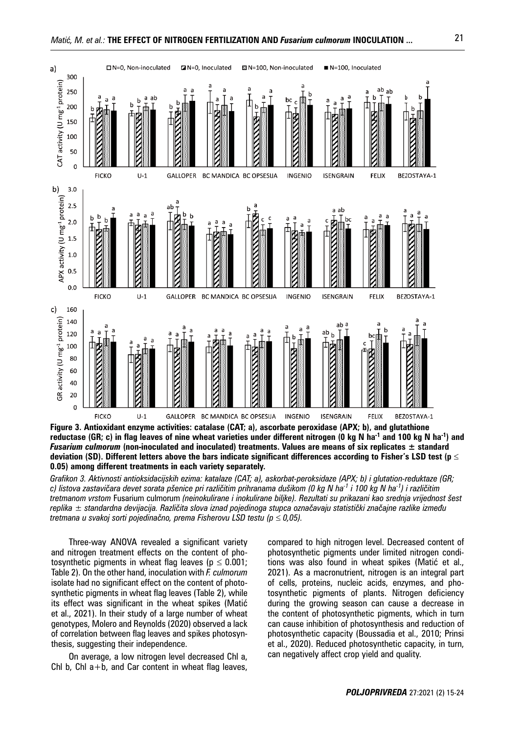

**Figure 3. Antioxidant enzyme activities: catalase (CAT; a), ascorbate peroxidase (APX; b), and glutathione reductase (GR; c) in flag leaves of nine wheat varieties under different nitrogen (0 kg N ha-1 and 100 kg N ha-1) and**  *Fusarium culmorum* **(non-inoculated and inoculated) treatments. Values are means of six replicates ± standard deviation (SD). Different letters above the bars indicate significant differences according to Fisher's LSD test (p 0.05) among different treatments in each variety separately.**

*Grafikon 3. Aktivnosti antioksidacijskih ezima: katalaze (CAT; a), askorbat-peroksidaze (APX; b) i glutation-reduktaze (GR; c) listova zastavičara devet sorata pšenice pri različitim prihranama dušikom (0 kg N ha-1 i 100 kg N ha-1) i različitim tretmanom vrstom* Fusarium culmorum *(neinokulirane i inokulirane biljke). Rezultati su prikazani kao srednja vrijednost šest replika ± standardna devijacija. Različita slova iznad pojedinoga stupca označavaju statistički značajne razlike između tretmana u svakoj sorti pojedinačno, prema Fisherovu LSD testu (p 0,05).*

Three-way ANOVA revealed a significant variety and nitrogen treatment effects on the content of photosynthetic pigments in wheat flag leaves ( $p \leq 0.001$ ; Table 2). On the other hand, inoculation with *F. culmorum* isolate had no significant effect on the content of photosynthetic pigments in wheat flag leaves (Table 2), while its effect was significant in the wheat spikes (Matić et al., 2021). In their study of a large number of wheat genotypes, Molero and Reynolds (2020) observed a lack of correlation between flag leaves and spikes photosynthesis, suggesting their independence.

On average, a low nitrogen level decreased Chl a, Chl b, Chl  $a+b$ , and Car content in wheat flag leaves,

compared to high nitrogen level. Decreased content of photosynthetic pigments under limited nitrogen conditions was also found in wheat spikes (Matić et al., 2021). As a macronutrient, nitrogen is an integral part of cells, proteins, nucleic acids, enzymes, and photosynthetic pigments of plants. Nitrogen deficiency during the growing season can cause a decrease in the content of photosynthetic pigments, which in turn can cause inhibition of photosynthesis and reduction of photosynthetic capacity (Boussadia et al., 2010; Prinsi et al., 2020). Reduced photosynthetic capacity, in turn, can negatively affect crop yield and quality.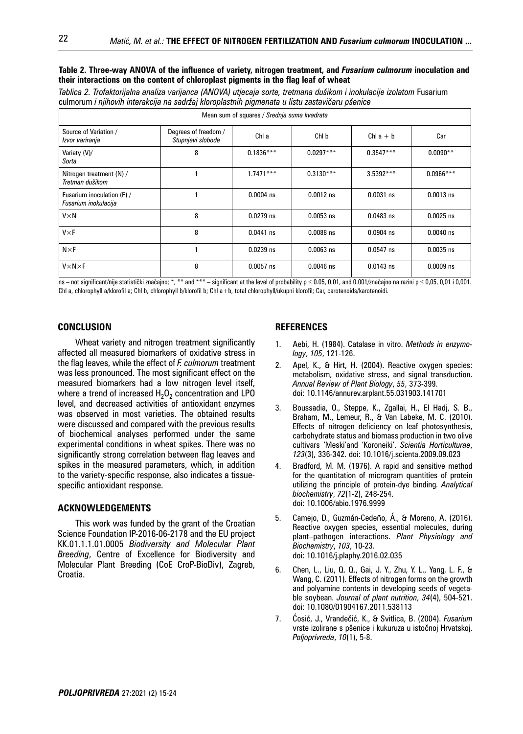#### **Table 2. Three-way ANOVA of the influence of variety, nitrogen treatment, and** *Fusarium culmorum* **inoculation and their interactions on the content of chloroplast pigments in the flag leaf of wheat**

*Tablica 2. Trofaktorijalna analiza varijanca (ANOVA) utjecaja sorte, tretmana dušikom i inokulacije izolatom* Fusarium culmorum *i njihovih interakcija na sadržaj kloroplastnih pigmenata u listu zastavičaru pšenice*

| Mean sum of squares / Srednja suma kvadrata        |                                           |             |             |             |             |  |  |  |  |
|----------------------------------------------------|-------------------------------------------|-------------|-------------|-------------|-------------|--|--|--|--|
| Source of Variation /<br>Izvor variranja           | Degrees of freedom /<br>Stupnjevi slobode | Chl a       | Chl b       | Chl $a + b$ | Car         |  |  |  |  |
| Variety (V)/<br>Sorta                              | 8                                         | $0.1836***$ | $0.0297***$ | $0.3547***$ | $0.0090**$  |  |  |  |  |
| Nitrogen treatment (N) /<br>Tretman dušikom        |                                           | $1.7471***$ | $0.3130***$ | $3.5392***$ | $0.0966***$ |  |  |  |  |
| Fusarium inoculation (F) /<br>Fusarium inokulacija |                                           | $0.0004$ ns | $0.0012$ ns | $0.0031$ ns | $0.0013$ ns |  |  |  |  |
| $V \times N$                                       | 8                                         | $0.0279$ ns | $0.0053$ ns | $0.0483$ ns | $0.0025$ ns |  |  |  |  |
| $V \times F$                                       | 8                                         | $0.0441$ ns | $0.0088$ ns | $0.0904$ ns | $0.0040$ ns |  |  |  |  |
| $N \times F$                                       |                                           | $0.0239$ ns | $0.0063$ ns | $0.0547$ ns | $0.0035$ ns |  |  |  |  |
| $V \times N \times F$                              | 8                                         | $0.0057$ ns | $0.0046$ ns | $0.0143$ ns | $0.0009$ ns |  |  |  |  |

 $\overline{n}$ s – not significant/nije statistički značajno; \*, \*\* and \*\*\* – significant at the level of probability  $p \le 0.05$ , 0.01, and 0.001/značajno na razini p  $\le 0.05$ , 0.01 i 0.001. Chl a, chlorophyll a/klorofil a; Chl b, chlorophyll b/klorofil b; Chl a+b, total chlorophyll/ukupni klorofil; Car, carotenoids/karotenoidi.

## **CONCLUSION**

Wheat variety and nitrogen treatment significantly affected all measured biomarkers of oxidative stress in the flag leaves, while the effect of *F. culmorum* treatment was less pronounced. The most significant effect on the measured biomarkers had a low nitrogen level itself, where a trend of increased  $H_2O_2$  concentration and LPO level, and decreased activities of antioxidant enzymes was observed in most varieties. The obtained results were discussed and compared with the previous results of biochemical analyses performed under the same experimental conditions in wheat spikes. There was no significantly strong correlation between flag leaves and spikes in the measured parameters, which, in addition to the variety-specific response, also indicates a tissuespecific antioxidant response.

#### **ACKNOWLEDGEMENTS**

This work was funded by the grant of the Croatian Science Foundation IP-2016-06-2178 and the EU project KK.01.1.1.01.0005 *Biodiversity and Molecular Plant Breeding*, Centre of Excellence for Biodiversity and Molecular Plant Breeding (CoE CroP-BioDiv), Zagreb, Croatia.

## **REFERENCES**

- 1. Aebi, H. (1984). Catalase in vitro. *Methods in enzymology*, *105*, 121-126.
- 2. Apel, K., & Hirt, H. (2004). Reactive oxygen species: metabolism, oxidative stress, and signal transduction. *Annual Review of Plant Biology*, *55*, 373-399. doi: 10.1146/annurev.arplant.55.031903.141701
- 3. Boussadia, O., Steppe, K., Zgallai, H., El Hadj, S. B., Braham, M., Lemeur, R., & Van Labeke, M. C. (2010). Effects of nitrogen deficiency on leaf photosynthesis, carbohydrate status and biomass production in two olive cultivars 'Meski'and 'Koroneiki'. *Scientia Horticulturae*, *123*(3), 336-342. doi: 10.1016/j.scienta.2009.09.023
- 4. Bradford, M. M. (1976). A rapid and sensitive method for the quantitation of microgram quantities of protein utilizing the principle of protein-dye binding. *Analytical biochemistry*, *72*(1-2), 248-254. doi: 10.1006/abio.1976.9999
- 5. Camejo, D., Guzmán-Cedeño, Á., & Moreno, A. (2016). Reactive oxygen species, essential molecules, during plant–pathogen interactions. *Plant Physiology and Biochemistry*, *103*, 10-23. doi: 10.1016/j.plaphy.2016.02.035
- 6. Chen, L., Liu, Q. Q., Gai, J. Y., Zhu, Y. L., Yang, L. F., & Wang, C. (2011). Effects of nitrogen forms on the growth and polyamine contents in developing seeds of vegetable soybean. *Journal of plant nutrition*, *34*(4), 504-521. doi: 10.1080/01904167.2011.538113
- 7. Ćosić, J., Vrandečić, K., & Svitlica, B. (2004). *Fusarium*  vrste izolirane s pšenice i kukuruza u istočnoj Hrvatskoj. *Poljoprivreda*, *10*(1), 5-8.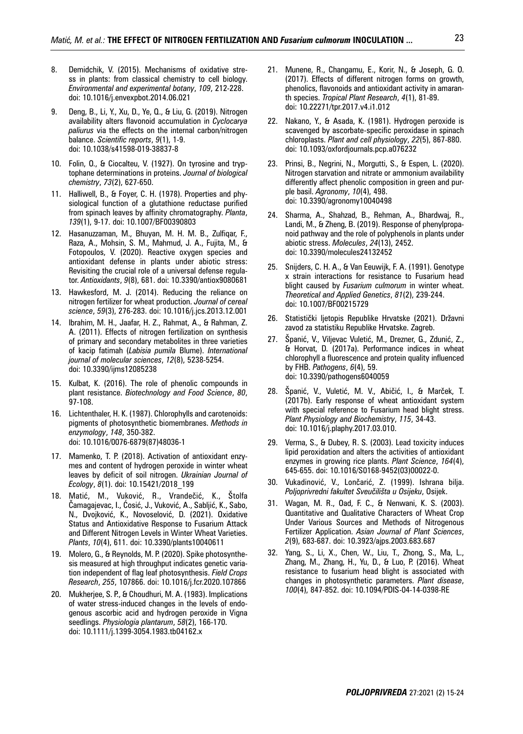- 8. Demidchik, V. (2015). Mechanisms of oxidative stress in plants: from classical chemistry to cell biology. *Environmental and experimental botany*, *109*, 212-228. doi: 10.1016/j.envexpbot.2014.06.021
- 9. Deng, B., Li, Y., Xu, D., Ye, Q., & Liu, G. (2019). Nitrogen availability alters flavonoid accumulation in *Cyclocarya paliurus* via the effects on the internal carbon/nitrogen balance. *Scientific reports*, *9*(1), 1-9. doi: 10.1038/s41598-019-38837-8
- 10. Folin, O., & Ciocalteu, V. (1927). On tyrosine and tryptophane determinations in proteins. *Journal of biological chemistry*, *73*(2), 627-650.
- 11. Halliwell, B., & Foyer, C. H. (1978). Properties and physiological function of a glutathione reductase purified from spinach leaves by affinity chromatography. *Planta*, *139*(1), 9-17. doi: 10.1007/BF00390803
- 12. Hasanuzzaman, M., Bhuyan, M. H. M. B., Zulfiqar, F., Raza, A., Mohsin, S. M., Mahmud, J. A., Fujita, M., & Fotopoulos, V. (2020). Reactive oxygen species and antioxidant defense in plants under abiotic stress: Revisiting the crucial role of a universal defense regulator. *Antioxidants*, *9*(8), 681. doi: 10.3390/antiox9080681
- 13. Hawkesford, M. J. (2014). Reducing the reliance on nitrogen fertilizer for wheat production. *Journal of cereal science*, *59*(3), 276-283. doi: 10.1016/j.jcs.2013.12.001
- 14. Ibrahim, M. H., Jaafar, H. Z., Rahmat, A., & Rahman, Z. A. (2011). Effects of nitrogen fertilization on synthesis of primary and secondary metabolites in three varieties of kacip fatimah (*Labisia pumila* Blume). *International journal of molecular sciences*, *12*(8), 5238-5254. doi: 10.3390/ijms12085238
- 15. Kulbat, K. (2016). The role of phenolic compounds in plant resistance. *Biotechnology and Food Science*, *80*, 97-108.
- 16. Lichtenthaler, H. K. (1987). Chlorophylls and carotenoids: pigments of photosynthetic biomembranes. *Methods in enzymology*, *148*, 350-382. doi: 10.1016/0076-6879(87)48036-1
- 17. Mamenko, T. P. (2018). Activation of antioxidant enzymes and content of hydrogen peroxide in winter wheat leaves by deficit of soil nitrogen. *Ukrainian Journal of Ecology*, *8*(1). doi: 10.15421/2018\_199
- 18. Matić, M., Vuković, R., Vrandečić, K., Štolfa Čamagajevac, I., Ćosić, J., Vuković, A., Sabljić, K., Sabo, N., Dvojković, K., Novoselović, D. (2021). Oxidative Status and Antioxidative Response to Fusarium Attack and Different Nitrogen Levels in Winter Wheat Varieties. *Plants*, *10*(4), 611. doi: 10.3390/plants10040611
- 19. Molero, G., & Reynolds, M. P. (2020). Spike photosynthesis measured at high throughput indicates genetic variation independent of flag leaf photosynthesis. *Field Crops Research*, *255*, 107866. doi: 10.1016/j.fcr.2020.107866
- 20. Mukherjee, S. P., & Choudhuri, M. A. (1983). Implications of water stress-induced changes in the levels of endogenous ascorbic acid and hydrogen peroxide in Vigna seedlings. *Physiologia plantarum*, *58*(2), 166-170. doi: 10.1111/j.1399-3054.1983.tb04162.x
- 21. Munene, R., Changamu, E., Korir, N., & Joseph, G. O. (2017). Effects of different nitrogen forms on growth, phenolics, flavonoids and antioxidant activity in amaranth species. *Tropical Plant Research*, *4*(1), 81-89. doi: 10.22271/tpr.2017.v4.i1.012
- 22. Nakano, Y., & Asada, K. (1981). Hydrogen peroxide is scavenged by ascorbate-specific peroxidase in spinach chloroplasts. *Plant and cell physiology*, *22*(5), 867-880. doi: 10.1093/oxfordjournals.pcp.a076232
- 23. Prinsi, B., Negrini, N., Morgutti, S., & Espen, L. (2020). Nitrogen starvation and nitrate or ammonium availability differently affect phenolic composition in green and purple basil. *Agronomy*, *10*(4), 498. doi: 10.3390/agronomy10040498
- 24. Sharma, A., Shahzad, B., Rehman, A., Bhardwaj, R., Landi, M., & Zheng, B. (2019). Response of phenylpropanoid pathway and the role of polyphenols in plants under abiotic stress. *Molecules*, *24*(13), 2452. doi: 10.3390/molecules24132452
- 25. Snijders, C. H. A., & Van Eeuwijk, F. A. (1991). Genotype x strain interactions for resistance to Fusarium head blight caused by *Fusarium culmorum* in winter wheat. *Theoretical and Applied Genetics*, *81*(2), 239-244. doi: 10.1007/BF00215729
- 26. Statistički ljetopis Republike Hrvatske (2021). Državni zavod za statistiku Republike Hrvatske. Zagreb.
- 27. Španić, V., Viljevac Vuletić, M., Drezner, G., Zdunić, Z., & Horvat, D. (2017a). Performance indices in wheat chlorophyll a fluorescence and protein quality influenced by FHB. *Pathogens*, *6*(4), 59. doi: 10.3390/pathogens6040059
- 28. Španić, V., Vuletić, M. V., Abičić, I., & Marček, T. (2017b). Early response of wheat antioxidant system with special reference to Fusarium head blight stress. *Plant Physiology and Biochemistry*, *115*, 34-43. doi: 10.1016/j.plaphy.2017.03.010.
- 29. Verma, S., & Dubey, R. S. (2003). Lead toxicity induces lipid peroxidation and alters the activities of antioxidant enzymes in growing rice plants. *Plant Science*, *164*(4), 645-655. doi: 10.1016/S0168-9452(03)00022-0.
- 30. Vukadinović, V., Lončarić, Z. (1999). Ishrana bilja. *Poljoprivredni fakultet Sveučilišta u Osijeku*, Osijek.
- 31. Wagan, M. R., Oad, F. C., & Nenwani, K. S. (2003). Quantitative and Qualitative Characters of Wheat Crop Under Various Sources and Methods of Nitrogenous Fertilizer Application. *Asian Journal of Plant Sciences*, *2*(9), 683-687. doi: 10.3923/ajps.2003.683.687
- 32. Yang, S., Li, X., Chen, W., Liu, T., Zhong, S., Ma, L., Zhang, M., Zhang, H., Yu, D., & Luo, P. (2016). Wheat resistance to fusarium head blight is associated with changes in photosynthetic parameters. *Plant disease*, *100*(4), 847-852. doi: 10.1094/PDIS-04-14-0398-RE